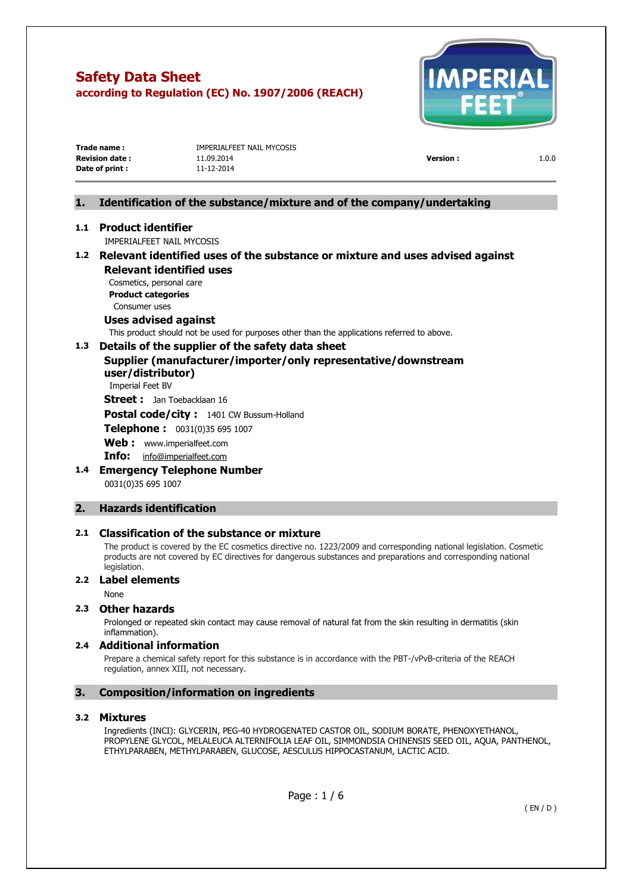

| Trade name :           | IMPERIALFEET NAIL MYCOSIS |                 |       |
|------------------------|---------------------------|-----------------|-------|
| <b>Revision date :</b> | 11.09.2014                | <b>Version:</b> | 1.0.0 |
| Date of print :        | 11-12-2014                |                 |       |
|                        |                           |                 |       |

# **1. Identification of the substance/mixture and of the company/undertaking**

#### **1.1 Product identifier**

IMPERIALFEET NAIL MYCOSIS

# **1.2 Relevant identified uses of the substance or mixture and uses advised against Relevant identified uses**

Cosmetics, personal care **Product categories**  Consumer uses

# **Uses advised against**

This product should not be used for purposes other than the applications referred to above.

# **1.3 Details of the supplier of the safety data sheet**

# **Supplier (manufacturer/importer/only representative/downstream user/distributor)**

Imperial Feet BV

**Street :** Jan Toebacklaan 16

**Postal code/city :** 1401 CW Bussum-Holland

**Telephone :** 0031(0)35 695 1007

**Web :** [www.imperialfeet.com](http://www.imperialfeet.com/)

**Info:** [info@imperialfeet.com](mailto:info@imperialfeet.com)

**1.4 Emergency Telephone Number**  0031(0)35 695 1007

#### **2. Hazards identification**

#### **2.1 Classification of the substance or mixture**

The product is covered by the EC cosmetics directive no. 1223/2009 and corresponding national legislation. Cosmetic products are not covered by EC directives for dangerous substances and preparations and corresponding national legislation.

#### **2.2 Label elements**

None

#### **2.3 Other hazards**

Prolonged or repeated skin contact may cause removal of natural fat from the skin resulting in dermatitis (skin inflammation).

#### **2.4 Additional information**

Prepare a chemical safety report for this substance is in accordance with the PBT-/vPvB-criteria of the REACH regulation, annex XIII, not necessary.

### **3. Composition/information on ingredients**

#### **3.2 Mixtures**

Ingredients (INCI): GLYCERIN, PEG-40 HYDROGENATED CASTOR OIL, SODIUM BORATE, PHENOXYETHANOL, PROPYLENE GLYCOL, MELALEUCA ALTERNIFOLIA LEAF OIL, SIMMONDSIA CHINENSIS SEED OIL, AQUA, PANTHENOL, ETHYLPARABEN, METHYLPARABEN, GLUCOSE, AESCULUS HIPPOCASTANUM, LACTIC ACID.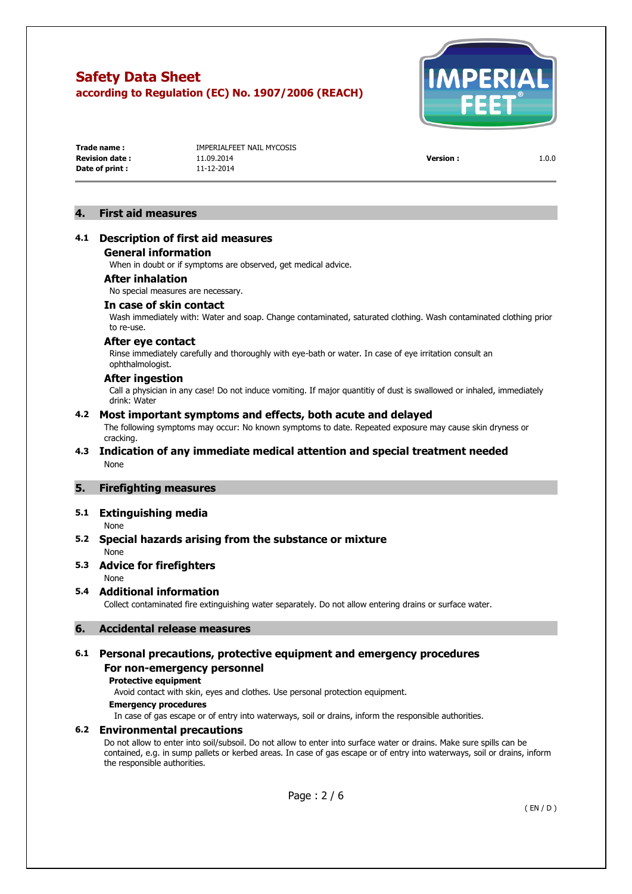

**Date of print :** 11-12-2014

**Trade name :** IMPERIALFEET NAIL MYCOSIS **Revision date :** 11.09.2014 **Version :** 1.0.0

#### **4. First aid measures**

#### **4.1 Description of first aid measures General information**

When in doubt or if symptoms are observed, get medical advice.

#### **After inhalation**

No special measures are necessary.

#### **In case of skin contact**

Wash immediately with: Water and soap. Change contaminated, saturated clothing. Wash contaminated clothing prior to re-use.

#### **After eye contact**

Rinse immediately carefully and thoroughly with eye-bath or water. In case of eye irritation consult an ophthalmologist.

#### **After ingestion**

Call a physician in any case! Do not induce vomiting. If major quantitiy of dust is swallowed or inhaled, immediately drink: Water

#### **4.2 Most important symptoms and effects, both acute and delayed**

The following symptoms may occur: No known symptoms to date. Repeated exposure may cause skin dryness or cracking.

#### **4.3 Indication of any immediate medical attention and special treatment needed**  None

#### **5. Firefighting measures**

#### **5.1 Extinguishing media**

None

### **5.2 Special hazards arising from the substance or mixture**

None

### **5.3 Advice for firefighters**

None

#### **5.4 Additional information**

Collect contaminated fire extinguishing water separately. Do not allow entering drains or surface water.

#### **6. Accidental release measures**

### **6.1 Personal precautions, protective equipment and emergency procedures For non-emergency personnel**

# **Protective equipment**

Avoid contact with skin, eyes and clothes. Use personal protection equipment.

#### **Emergency procedures**

In case of gas escape or of entry into waterways, soil or drains, inform the responsible authorities.

#### **6.2 Environmental precautions**

Do not allow to enter into soil/subsoil. Do not allow to enter into surface water or drains. Make sure spills can be contained, e.g. in sump pallets or kerbed areas. In case of gas escape or of entry into waterways, soil or drains, inform the responsible authorities.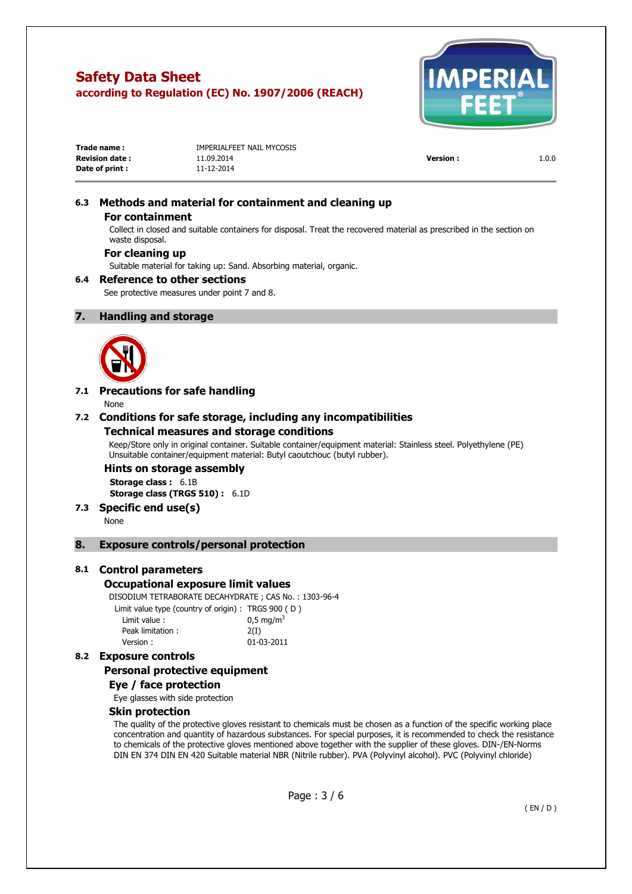

| Trade name:           | IMPERIALFEET NAIL MYCOSIS |                 |       |
|-----------------------|---------------------------|-----------------|-------|
| <b>Revision date:</b> | 11.09.2014                | <b>Version:</b> | 1.0.0 |
| Date of print :       | 11-12-2014                |                 |       |

# **6.3 Methods and material for containment and cleaning up**

#### **For containment**

Collect in closed and suitable containers for disposal. Treat the recovered material as prescribed in the section on waste disposal.

### **For cleaning up**

Suitable material for taking up: Sand. Absorbing material, organic.

#### **6.4 Reference to other sections**

See protective measures under point 7 and 8.

#### **7. Handling and storage**



### **7.1 Precautions for safe handling**

None

#### **7.2 Conditions for safe storage, including any incompatibilities Technical measures and storage conditions**

Keep/Store only in original container. Suitable container/equipment material: Stainless steel. Polyethylene (PE) Unsuitable container/equipment material: Butyl caoutchouc (butyl rubber).

#### **Hints on storage assembly Storage class :** 6.1B **Storage class (TRGS 510) :** 6.1D

#### **7.3 Specific end use(s)**

None

#### **8. Exposure controls/personal protection**

#### **8.1 Control parameters**

#### **Occupational exposure limit values**

DISODIUM TETRABORATE DECAHYDRATE ; CAS No. : 1303-96-4

| Limit value type (country of origin): TRGS 900 (D) |                         |
|----------------------------------------------------|-------------------------|
| Limit value:                                       | $0.5 \,\mathrm{mq/m^3}$ |
| Peak limitation:                                   | 2(I)                    |
| Version:                                           | 01-03-2011              |

### **8.2 Exposure controls**

#### **Personal protective equipment**

#### **Eye / face protection**

Eye glasses with side protection

#### **Skin protection**

The quality of the protective gloves resistant to chemicals must be chosen as a function of the specific working place concentration and quantity of hazardous substances. For special purposes, it is recommended to check the resistance to chemicals of the protective gloves mentioned above together with the supplier of these gloves. DIN-/EN-Norms DIN EN 374 DIN EN 420 Suitable material NBR (Nitrile rubber). PVA (Polyvinyl alcohol). PVC (Polyvinyl chloride)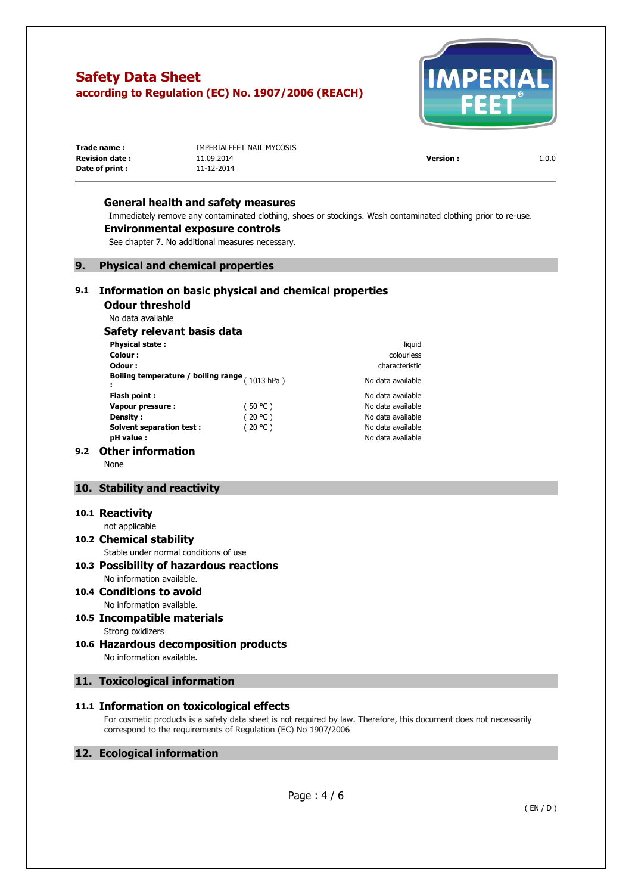

| Trade name :           | IMPERIALFEET NAIL MYCOSIS |                 |       |
|------------------------|---------------------------|-----------------|-------|
| <b>Revision date :</b> | 11.09.2014                | <b>Version:</b> | 1.0.0 |
| Date of print:         | 11-12-2014                |                 |       |

#### **General health and safety measures**

Immediately remove any contaminated clothing, shoes or stockings. Wash contaminated clothing prior to re-use.

#### **Environmental exposure controls**

See chapter 7. No additional measures necessary.

#### **9. Physical and chemical properties**

#### **9.1 Information on basic physical and chemical properties**

**Odour threshold** 

# No data available

# **Safety relevant basis data**

| <b>Physical state:</b>                           |         | liquid            |
|--------------------------------------------------|---------|-------------------|
| Colour:                                          |         | colourless        |
| Odour:                                           |         | characteristic    |
| Boiling temperature / boiling range $(1013 hPa)$ |         | No data available |
| Flash point:                                     |         | No data available |
| Vapour pressure:                                 | (50 °C) | No data available |
| Density :                                        | (20 °C) | No data available |
| <b>Solvent separation test:</b>                  | (20 °C) | No data available |
| pH value :                                       |         | No data available |

# **Colour :** colourless **Odour :** characteristic No data available **Flash point :** No data available **Vapour pressure :** ( 50 °C ) No data available No data available **Solvent separation test :** ( 20 °C ) No data available

#### **9.2 Other information**

None

# **10. Stability and reactivity**

#### **10.1 Reactivity**

not applicable

#### **10.2 Chemical stability**  Stable under normal conditions of use

#### **10.3 Possibility of hazardous reactions**  No information available.

- **10.4 Conditions to avoid**  No information available.
- **10.5 Incompatible materials**  Strong oxidizers
- **10.6 Hazardous decomposition products**  No information available.

#### **11. Toxicological information**

### **11.1 Information on toxicological effects**

For cosmetic products is a safety data sheet is not required by law. Therefore, this document does not necessarily correspond to the requirements of Regulation (EC) No 1907/2006

### **12. Ecological information**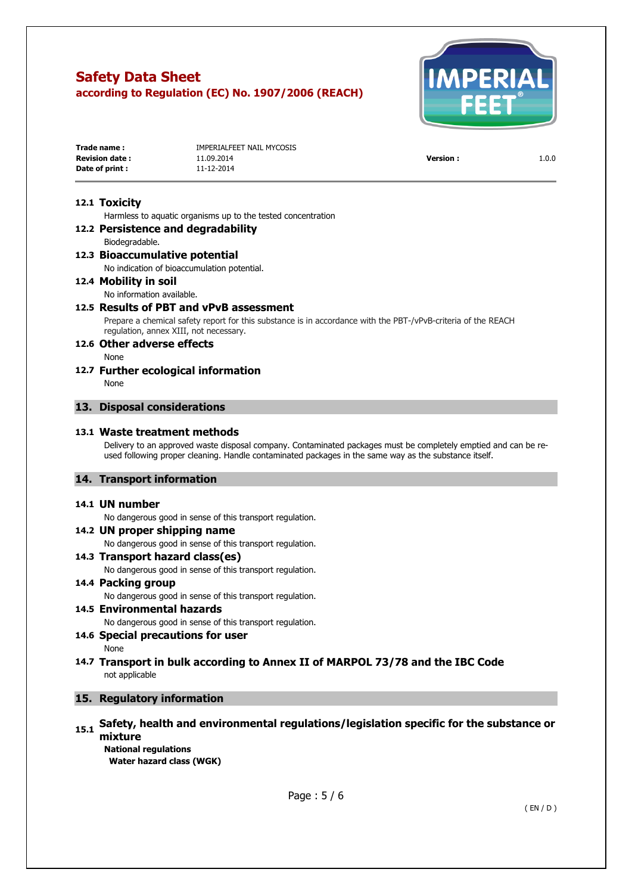

| Trade name:           | IMPERIALFEET NAIL MYCOSIS |                 |       |
|-----------------------|---------------------------|-----------------|-------|
| <b>Revision date:</b> | 11.09.2014                | <b>Version:</b> | 1.0.0 |
| Date of print :       | 11-12-2014                |                 |       |

#### **12.1 Toxicity**

Harmless to aquatic organisms up to the tested concentration

#### **12.2 Persistence and degradability**  Biodegradable.

#### **12.3 Bioaccumulative potential**

No indication of bioaccumulation potential.

#### **12.4 Mobility in soil**

#### No information available.

#### **12.5 Results of PBT and vPvB assessment**

Prepare a chemical safety report for this substance is in accordance with the PBT-/vPvB-criteria of the REACH regulation, annex XIII, not necessary.

#### **12.6 Other adverse effects**

None

#### **12.7 Further ecological information**

None

#### **13. Disposal considerations**

#### **13.1 Waste treatment methods**

Delivery to an approved waste disposal company. Contaminated packages must be completely emptied and can be reused following proper cleaning. Handle contaminated packages in the same way as the substance itself.

#### **14. Transport information**

#### **14.1 UN number**

No dangerous good in sense of this transport regulation.

**14.2 UN proper shipping name**  No dangerous good in sense of this transport regulation. **14.3 Transport hazard class(es)** 

No dangerous good in sense of this transport regulation.

# **14.4 Packing group**

No dangerous good in sense of this transport regulation.

# **14.5 Environmental hazards**

No dangerous good in sense of this transport regulation.

# **14.6 Special precautions for user**

- None
- **14.7 Transport in bulk according to Annex II of MARPOL 73/78 and the IBC Code**  not applicable

### **15. Regulatory information**

# **15.1 Safety, health and environmental regulations/legislation specific for the substance or mixture**

**National regulations Water hazard class (WGK)**